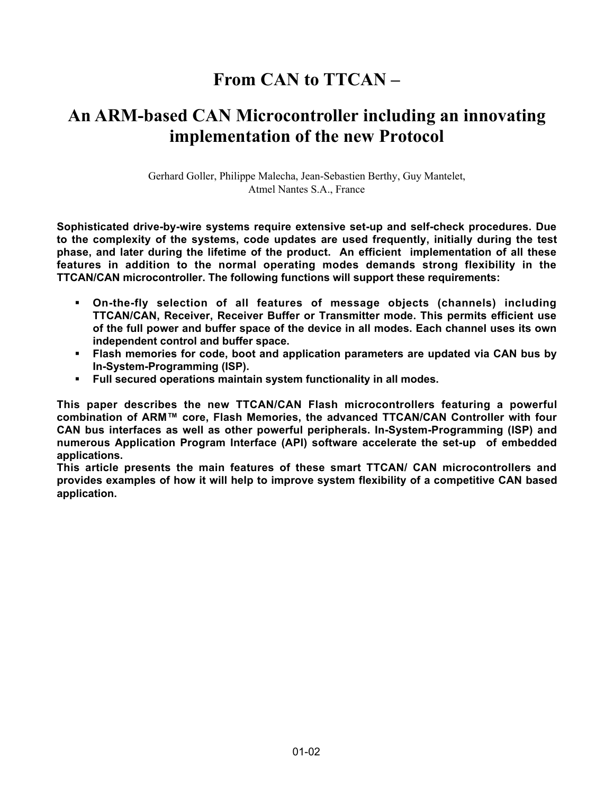# **From CAN to TTCAN –**

# **An ARM-based CAN Microcontroller including an innovating implementation of the new Protocol**

Gerhard Goller, Philippe Malecha, Jean-Sebastien Berthy, Guy Mantelet, Atmel Nantes S.A., France

**Sophisticated drive-by-wire systems require extensive set-up and self-check procedures. Due to the complexity of the systems, code updates are used frequently, initially during the test phase, and later during the lifetime of the product. An efficient implementation of all these features in addition to the normal operating modes demands strong flexibility in the TTCAN/CAN microcontroller. The following functions will support these requirements:**

- ß **On-the-fly selection of all features of message objects (channels) including TTCAN/CAN, Receiver, Receiver Buffer or Transmitter mode. This permits efficient use of the full power and buffer space of the device in all modes. Each channel uses its own independent control and buffer space.**
- **Flash memories for code, boot and application parameters are updated via CAN bus by In-System-Programming (ISP).**
- ß **Full secured operations maintain system functionality in all modes.**

**This paper describes the new TTCAN/CAN Flash microcontrollers featuring a powerful combination of ARM™ core, Flash Memories, the advanced TTCAN/CAN Controller with four CAN bus interfaces as well as other powerful peripherals. In-System-Programming (ISP) and numerous Application Program Interface (API) software accelerate the set-up of embedded applications.**

**This article presents the main features of these smart TTCAN/ CAN microcontrollers and provides examples of how it will help to improve system flexibility of a competitive CAN based application.**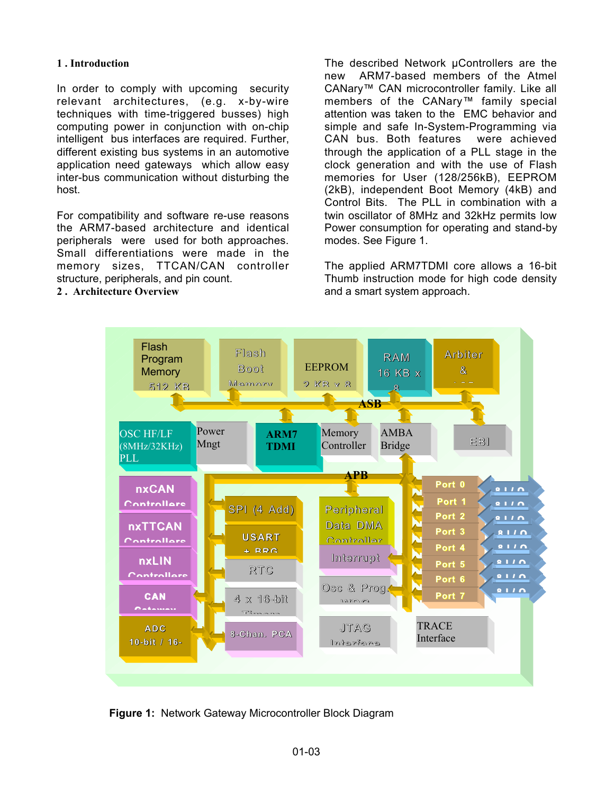# **1 . Introduction**

In order to comply with upcoming security relevant architectures, (e.g. x-by-wire techniques with time-triggered busses) high computing power in conjunction with on-chip intelligent bus interfaces are required. Further, different existing bus systems in an automotive application need gateways which allow easy inter-bus communication without disturbing the host.

For compatibility and software re-use reasons the ARM7-based architecture and identical peripherals were used for both approaches. Small differentiations were made in the memory sizes, TTCAN/CAN controller structure, peripherals, and pin count.

**2 . Architecture Overview**

The described Network µControllers are the new ARM7-based members of the Atmel CANary™ CAN microcontroller family. Like all members of the CANary™ family special attention was taken to the EMC behavior and simple and safe In-System-Programming via CAN bus. Both features were achieved through the application of a PLL stage in the clock generation and with the use of Flash memories for User (128/256kB), EEPROM (2kB), independent Boot Memory (4kB) and Control Bits. The PLL in combination with a twin oscillator of 8MHz and 32kHz permits low Power consumption for operating and stand-by modes. See Figure 1.

The applied ARM7TDMI core allows a 16-bit Thumb instruction mode for high code density and a smart system approach.



**Figure 1:** Network Gateway Microcontroller Block Diagram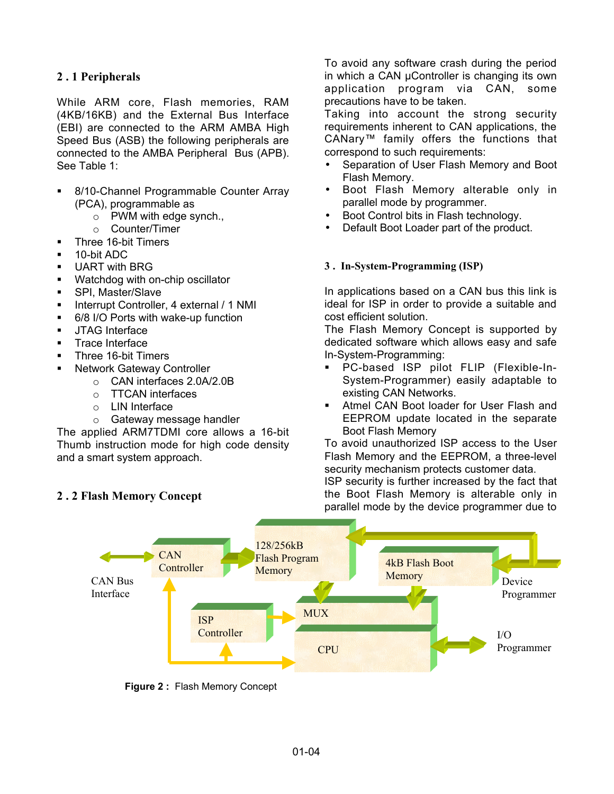# **2 . 1 Peripherals**

While ARM core, Flash memories, RAM (4KB/16KB) and the External Bus Interface (EBI) are connected to the ARM AMBA High Speed Bus (ASB) the following peripherals are connected to the AMBA Peripheral Bus (APB). See Table 1:

- ß 8/10-Channel Programmable Counter Array (PCA), programmable as
	- o PWM with edge synch.,
	- o Counter/Timer
- **Three 16-bit Timers**
- ß 10-bit ADC
- **UART with BRG**
- Watchdog with on-chip oscillator
- SPI, Master/Slave
- **EXECUTE:** Interrupt Controller, 4 external / 1 NMI
- **6/8 I/O Ports with wake-up function**
- **JTAG Interface**
- **Trace Interface**
- ß Three 16-bit Timers
- ß Network Gateway Controller
	- o CAN interfaces 2.0A/2.0B
	- o TTCAN interfaces
	- o LIN Interface
	- o Gateway message handler

The applied ARM7TDMI core allows a 16-bit Thumb instruction mode for high code density and a smart system approach.

**2 . 2 Flash Memory Concept**

To avoid any software crash during the period in which a CAN µController is changing its own application program via CAN, some precautions have to be taken.

Taking into account the strong security requirements inherent to CAN applications, the CANary™ family offers the functions that correspond to such requirements:

- Separation of User Flash Memory and Boot Flash Memory.
- Boot Flash Memory alterable only in parallel mode by programmer.
- Boot Control bits in Flash technology.
- Default Boot Loader part of the product.

## **3 . In-System-Programming (ISP)**

In applications based on a CAN bus this link is ideal for ISP in order to provide a suitable and cost efficient solution.

The Flash Memory Concept is supported by dedicated software which allows easy and safe In-System-Programming:

- ß PC-based ISP pilot FLIP (Flexible-In-System-Programmer) easily adaptable to existing CAN Networks.
- **Atmel CAN Boot loader for User Flash and** EEPROM update located in the separate Boot Flash Memory

To avoid unauthorized ISP access to the User Flash Memory and the EEPROM, a three-level security mechanism protects customer data. ISP security is further increased by the fact that the Boot Flash Memory is alterable only in parallel mode by the device programmer due to



**Figure 2 :** Flash Memory Concept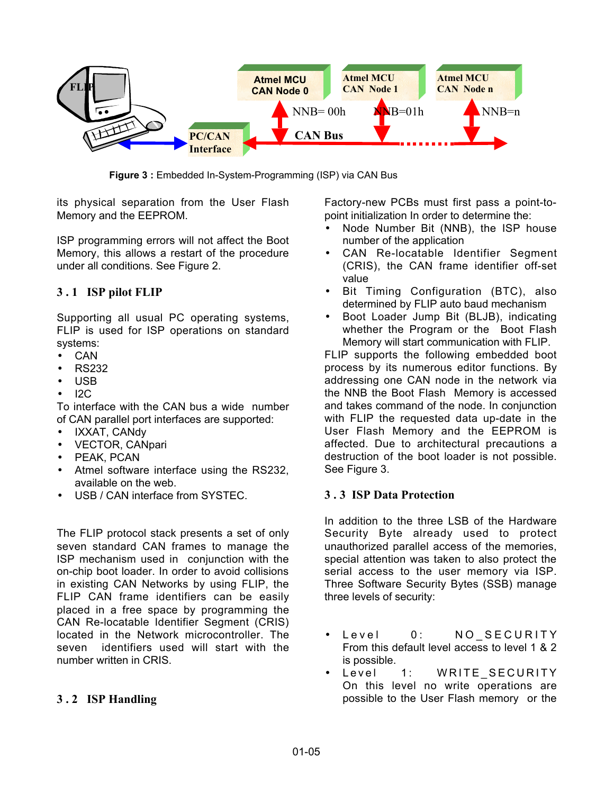

**Figure 3 :** Embedded In-System-Programming (ISP) via CAN Bus

its physical separation from the User Flash Memory and the EEPROM.

ISP programming errors will not affect the Boot Memory, this allows a restart of the procedure under all conditions. See Figure 2.

# **3 . 1 ISP pilot FLIP**

Supporting all usual PC operating systems, FLIP is used for ISP operations on standard systems:

- CAN
- RS232
- USB
- $12C$

To interface with the CAN bus a wide number of CAN parallel port interfaces are supported:

- IXXAT, CANdy
- VECTOR, CANpari
- PEAK, PCAN
- Atmel software interface using the RS232, available on the web.
- USB / CAN interface from SYSTEC.

The FLIP protocol stack presents a set of only seven standard CAN frames to manage the ISP mechanism used in conjunction with the on-chip boot loader. In order to avoid collisions in existing CAN Networks by using FLIP, the FLIP CAN frame identifiers can be easily placed in a free space by programming the CAN Re-locatable Identifier Segment (CRIS) located in the Network microcontroller. The seven identifiers used will start with the number written in CRIS.

#### **3 . 2 ISP Handling**

Factory-new PCBs must first pass a point-topoint initialization In order to determine the:

- Node Number Bit (NNB), the ISP house number of the application
- CAN Re-locatable Identifier Segment (CRIS), the CAN frame identifier off-set value
- Bit Timing Configuration (BTC), also determined by FLIP auto baud mechanism
- Boot Loader Jump Bit (BLJB), indicating whether the Program or the Boot Flash Memory will start communication with FLIP.

FLIP supports the following embedded boot process by its numerous editor functions. By addressing one CAN node in the network via the NNB the Boot Flash Memory is accessed and takes command of the node. In conjunction with FLIP the requested data up-date in the User Flash Memory and the EEPROM is affected. Due to architectural precautions a destruction of the boot loader is not possible. See Figure 3.

#### **3 . 3 ISP Data Protection**

In addition to the three LSB of the Hardware Security Byte already used to protect unauthorized parallel access of the memories, special attention was taken to also protect the serial access to the user memory via ISP. Three Software Security Bytes (SSB) manage three levels of security:

- Level 0: NO\_SECURITY From this default level access to level 1 & 2 is possible.
- Level 1: WRITE\_SECURITY On this level no write operations are possible to the User Flash memory or the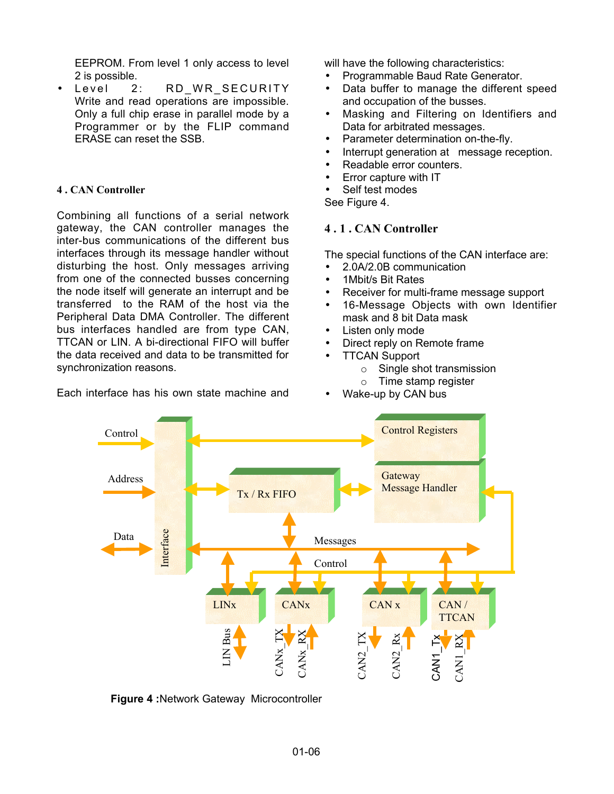EEPROM. From level 1 only access to level 2 is possible.

Level 2: RD WR SECURITY Write and read operations are impossible. Only a full chip erase in parallel mode by a Programmer or by the FLIP command ERASE can reset the SSB.

#### **4 . CAN Controller**

Combining all functions of a serial network gateway, the CAN controller manages the inter-bus communications of the different bus interfaces through its message handler without disturbing the host. Only messages arriving from one of the connected busses concerning the node itself will generate an interrupt and be transferred to the RAM of the host via the Peripheral Data DMA Controller. The different bus interfaces handled are from type CAN, TTCAN or LIN. A bi-directional FIFO will buffer the data received and data to be transmitted for synchronization reasons.

Each interface has his own state machine and

will have the following characteristics:

- Programmable Baud Rate Generator.
- Data buffer to manage the different speed and occupation of the busses.
- Masking and Filtering on Identifiers and Data for arbitrated messages.
- Parameter determination on-the-fly.
- Interrupt generation at message reception.
- Readable error counters.
- Error capture with IT
- Self test modes
- See Figure 4.

## **4 . 1 . CAN Controller**

The special functions of the CAN interface are:

- 2.0A/2.0B communication
- 1 Mbit/s Bit Rates
- Receiver for multi-frame message support
- 16-Message Objects with own Identifier mask and 8 bit Data mask
- Listen only mode
- Direct reply on Remote frame
- **TTCAN Support** 
	- o Single shot transmission
	- o Time stamp register
- Wake-up by CAN bus



**Figure 4 :**Network Gateway Microcontroller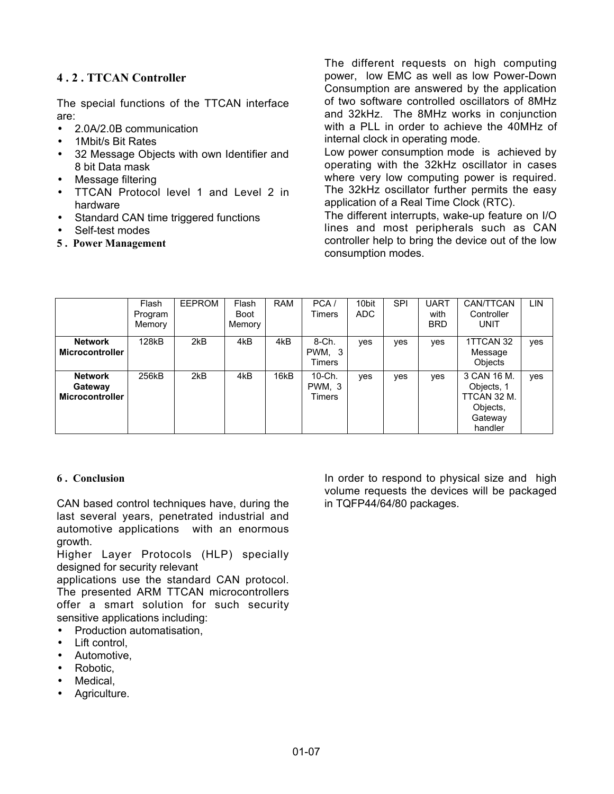# **4 . 2 . TTCAN Controller**

The special functions of the TTCAN interface are:

- 2.0A/2.0B communication
- 1Mbit/s Bit Rates
- 32 Message Objects with own Identifier and 8 bit Data mask
- Message filtering
- TTCAN Protocol level 1 and Level 2 in hardware
- Standard CAN time triggered functions
- Self-test modes
- **5 . Power Management**

The different requests on high computing power, low EMC as well as low Power-Down Consumption are answered by the application of two software controlled oscillators of 8MHz and 32kHz. The 8MHz works in conjunction with a PLL in order to achieve the 40MHz of internal clock in operating mode.

Low power consumption mode is achieved by operating with the 32kHz oscillator in cases where very low computing power is required. The 32kHz oscillator further permits the easy application of a Real Time Clock (RTC).

The different interrupts, wake-up feature on I/O lines and most peripherals such as CAN controller help to bring the device out of the low consumption modes.

|                                              | Flash<br>Program<br>Memory | EEPROM | Flash<br>Boot<br>Memory | <b>RAM</b> | PCA/<br>Timers             | 10bit<br>ADC | <b>SPI</b> | <b>UART</b><br>with<br><b>BRD</b> | CAN/TTCAN<br>Controller<br>UNIT                                            | LIN |
|----------------------------------------------|----------------------------|--------|-------------------------|------------|----------------------------|--------------|------------|-----------------------------------|----------------------------------------------------------------------------|-----|
| <b>Network</b><br><b>Microcontroller</b>     | 128kB                      | 2kB    | 4kB                     | 4kB        | 8-Ch.<br>PWM, 3<br>Timers  | yes          | yes        | yes                               | 1TTCAN 32<br>Message<br><b>Objects</b>                                     | yes |
| <b>Network</b><br>Gateway<br>Microcontroller | 256kB                      | 2kB    | 4kB                     | 16kB       | 10-Ch.<br>PWM, 3<br>Timers | yes          | yes        | yes                               | 3 CAN 16 M.<br>Objects, 1<br>TTCAN 32 M.<br>Objects,<br>Gateway<br>handler | yes |

#### **6 . Conclusion**

CAN based control techniques have, during the last several years, penetrated industrial and automotive applications with an enormous growth.

Higher Layer Protocols (HLP) specially designed for security relevant

applications use the standard CAN protocol. The presented ARM TTCAN microcontrollers offer a smart solution for such security sensitive applications including:

- Production automatisation,
- Lift control.
- Automotive,
- Robotic,
- Medical,
- Agriculture.

In order to respond to physical size and high volume requests the devices will be packaged in TQFP44/64/80 packages.